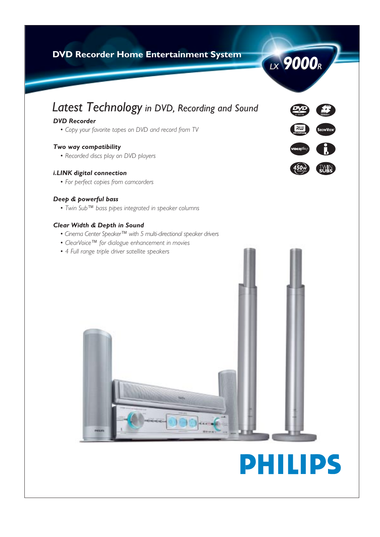# **DVD Recorder Home Entertainment System**



# *DVD Recorder*

*• Copy your favorite tapes on DVD and record from TV*

# *Two way compatibility*

*• Recorded discs play on DVD players*

# *i.LINK digital connection*

*• For perfect copies from camcorders*

# *Deep & powerful bass*

*• Twin Sub™ bass pipes integrated in speaker columns*

# *Clear Width & Depth in Sound*

- *Cinema Center Speaker™ with 5 multi-directional speaker drivers*
- *ClearVoice™ for dialogue enhancement in movies*
- *4 Full range triple driver satellite speakers*





**LX** 9000<sub>R</sub>

# **PHILIPS**